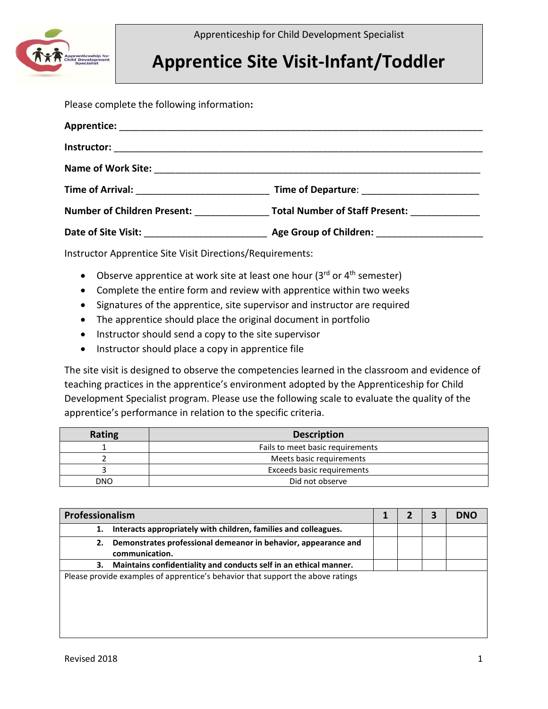

Apprenticeship for Child Development Specialist

## **Apprentice Site Visit-Infant/Toddler**

Please complete the following information**:**

| <b>Number of Children Present:</b> | <b>Total Number of Staff Present:</b> |
|------------------------------------|---------------------------------------|
|                                    |                                       |

Instructor Apprentice Site Visit Directions/Requirements:

- Observe apprentice at work site at least one hour  $(3^{rd}$  or  $4^{th}$  semester)
- Complete the entire form and review with apprentice within two weeks
- Signatures of the apprentice, site supervisor and instructor are required
- The apprentice should place the original document in portfolio
- Instructor should send a copy to the site supervisor
- Instructor should place a copy in apprentice file

The site visit is designed to observe the competencies learned in the classroom and evidence of teaching practices in the apprentice's environment adopted by the Apprenticeship for Child Development Specialist program. Please use the following scale to evaluate the quality of the apprentice's performance in relation to the specific criteria.

| Rating | <b>Description</b>               |
|--------|----------------------------------|
|        | Fails to meet basic requirements |
|        | Meets basic requirements         |
|        | Exceeds basic requirements       |
| DNO    | Did not observe                  |

|    | Professionalism                                                                  |  |  | <b>DNO</b> |
|----|----------------------------------------------------------------------------------|--|--|------------|
| 1. | Interacts appropriately with children, families and colleagues.                  |  |  |            |
| 2. | Demonstrates professional demeanor in behavior, appearance and<br>communication. |  |  |            |
| 3. | Maintains confidentiality and conducts self in an ethical manner.                |  |  |            |
|    | Please provide examples of apprentice's behavior that support the above ratings  |  |  |            |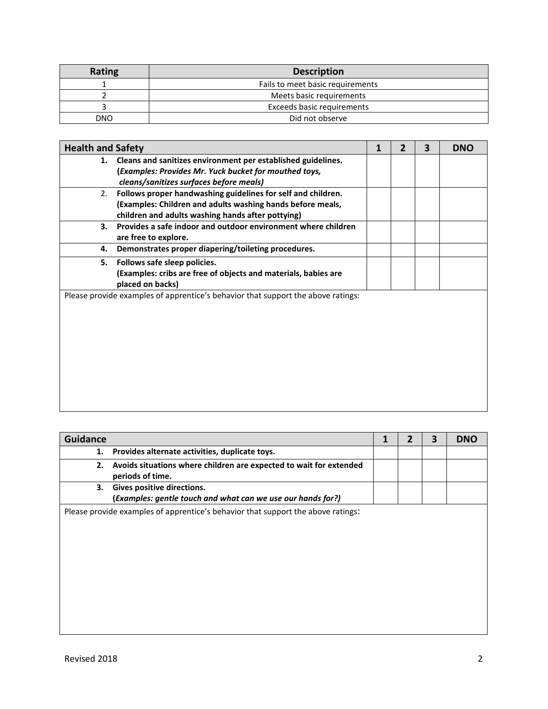| Rating | <b>Description</b>               |
|--------|----------------------------------|
|        | Fails to meet basic requirements |
|        | Meets basic requirements         |
|        | Exceeds basic requirements       |
| DNO    | Did not observe                  |

| <b>Health and Safety</b> |                                                                                                                                                                                 | 2 | 3 | <b>DNO</b> |
|--------------------------|---------------------------------------------------------------------------------------------------------------------------------------------------------------------------------|---|---|------------|
|                          | 1. Cleans and sanitizes environment per established guidelines.<br>(Examples: Provides Mr. Yuck bucket for mouthed toys,<br>cleans/sanitizes surfaces before meals)             |   |   |            |
| 2.                       | Follows proper handwashing guidelines for self and children.<br>(Examples: Children and adults washing hands before meals,<br>children and adults washing hands after pottying) |   |   |            |
| 3.                       | Provides a safe indoor and outdoor environment where children<br>are free to explore.                                                                                           |   |   |            |
| 4.                       | Demonstrates proper diapering/toileting procedures.                                                                                                                             |   |   |            |
| 5.                       | Follows safe sleep policies.<br>(Examples: cribs are free of objects and materials, babies are<br>placed on backs)                                                              |   |   |            |
|                          | Please provide examples of apprentice's behavior that support the above ratings:                                                                                                |   |   |            |

| <b>Guidance</b>                                                                                 |  | 3 | <b>DNO</b> |
|-------------------------------------------------------------------------------------------------|--|---|------------|
| Provides alternate activities, duplicate toys.<br>1.                                            |  |   |            |
| Avoids situations where children are expected to wait for extended<br>2.<br>periods of time.    |  |   |            |
| Gives positive directions.<br>з.<br>(Examples: gentle touch and what can we use our hands for?) |  |   |            |
| Please provide examples of apprentice's behavior that support the above ratings:                |  |   |            |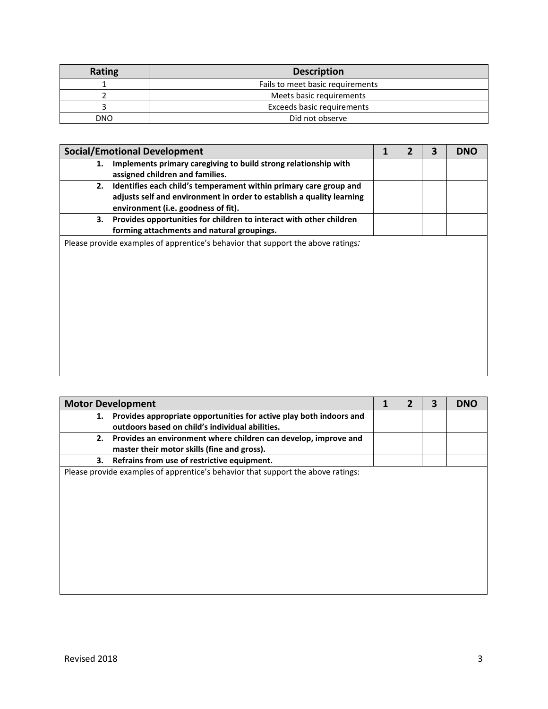| Rating | <b>Description</b>               |
|--------|----------------------------------|
|        | Fails to meet basic requirements |
|        | Meets basic requirements         |
|        | Exceeds basic requirements       |
| DNO    | Did not observe                  |

|    | <b>Social/Emotional Development</b>                                                                                                                                               | 2 | 3 | <b>DNO</b> |
|----|-----------------------------------------------------------------------------------------------------------------------------------------------------------------------------------|---|---|------------|
| 1. | Implements primary caregiving to build strong relationship with<br>assigned children and families.                                                                                |   |   |            |
| 2. | Identifies each child's temperament within primary care group and<br>adjusts self and environment in order to establish a quality learning<br>environment (i.e. goodness of fit). |   |   |            |
| 3. | Provides opportunities for children to interact with other children<br>forming attachments and natural groupings.                                                                 |   |   |            |
|    | Please provide examples of apprentice's behavior that support the above ratings.                                                                                                  |   |   |            |

|    | <b>Motor Development</b>                                                         |  | 3 | <b>DNO</b> |
|----|----------------------------------------------------------------------------------|--|---|------------|
| 1. | Provides appropriate opportunities for active play both indoors and              |  |   |            |
|    | outdoors based on child's individual abilities.                                  |  |   |            |
| 2. | Provides an environment where children can develop, improve and                  |  |   |            |
|    | master their motor skills (fine and gross).                                      |  |   |            |
| 3. | Refrains from use of restrictive equipment.                                      |  |   |            |
|    | Please provide examples of apprentice's behavior that support the above ratings: |  |   |            |
|    |                                                                                  |  |   |            |
|    |                                                                                  |  |   |            |
|    |                                                                                  |  |   |            |
|    |                                                                                  |  |   |            |
|    |                                                                                  |  |   |            |
|    |                                                                                  |  |   |            |
|    |                                                                                  |  |   |            |
|    |                                                                                  |  |   |            |
|    |                                                                                  |  |   |            |
|    |                                                                                  |  |   |            |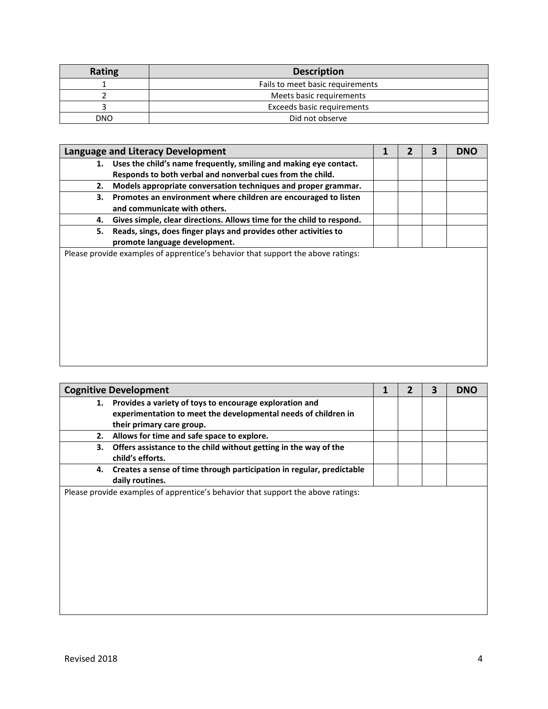| <b>Rating</b> | <b>Description</b>               |
|---------------|----------------------------------|
|               | Fails to meet basic requirements |
|               | Meets basic requirements         |
|               | Exceeds basic requirements       |
| DNO           | Did not observe                  |

|    | Language and Literacy Development                                                                                                  |  | 3 | <b>DNO</b> |
|----|------------------------------------------------------------------------------------------------------------------------------------|--|---|------------|
|    | 1. Uses the child's name frequently, smiling and making eye contact.<br>Responds to both verbal and nonverbal cues from the child. |  |   |            |
| 2. | Models appropriate conversation techniques and proper grammar.                                                                     |  |   |            |
| 3. | Promotes an environment where children are encouraged to listen<br>and communicate with others.                                    |  |   |            |
| 4. | Gives simple, clear directions. Allows time for the child to respond.                                                              |  |   |            |
| 5. | Reads, sings, does finger plays and provides other activities to<br>promote language development.                                  |  |   |            |
|    | Please provide examples of apprentice's behavior that support the above ratings:                                                   |  |   |            |

|                                                                                  | <b>Cognitive Development</b>                                                                                                                           |  |  |  | <b>DNO</b> |
|----------------------------------------------------------------------------------|--------------------------------------------------------------------------------------------------------------------------------------------------------|--|--|--|------------|
| 1.                                                                               | Provides a variety of toys to encourage exploration and<br>experimentation to meet the developmental needs of children in<br>their primary care group. |  |  |  |            |
| 2.                                                                               | Allows for time and safe space to explore.                                                                                                             |  |  |  |            |
| 3.                                                                               | Offers assistance to the child without getting in the way of the<br>child's efforts.                                                                   |  |  |  |            |
| 4.                                                                               | Creates a sense of time through participation in regular, predictable<br>daily routines.                                                               |  |  |  |            |
| Please provide examples of apprentice's behavior that support the above ratings: |                                                                                                                                                        |  |  |  |            |